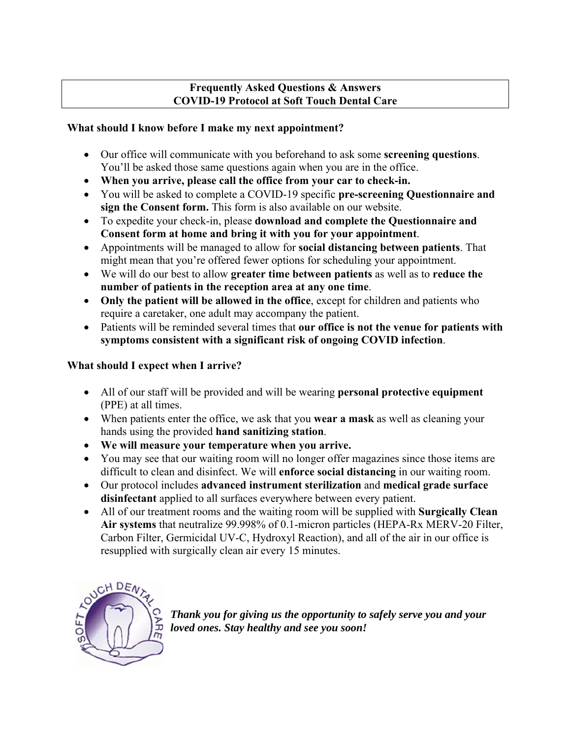### **Frequently Asked Questions & Answers COVID-19 Protocol at Soft Touch Dental Care**

## **What should I know before I make my next appointment?**

- Our office will communicate with you beforehand to ask some **screening questions**. You'll be asked those same questions again when you are in the office.
- **When you arrive, please call the office from your car to check-in.**
- You will be asked to complete a COVID-19 specific **pre-screening Questionnaire and sign the Consent form.** This form is also available on our website.
- To expedite your check-in, please **download and complete the Questionnaire and Consent form at home and bring it with you for your appointment**.
- Appointments will be managed to allow for **social distancing between patients**. That might mean that you're offered fewer options for scheduling your appointment.
- We will do our best to allow **greater time between patients** as well as to **reduce the number of patients in the reception area at any one time**.
- **Only the patient will be allowed in the office**, except for children and patients who require a caretaker, one adult may accompany the patient.
- Patients will be reminded several times that **our office is not the venue for patients with symptoms consistent with a significant risk of ongoing COVID infection**.

## **What should I expect when I arrive?**

- All of our staff will be provided and will be wearing **personal protective equipment** (PPE) at all times.
- When patients enter the office, we ask that you **wear a mask** as well as cleaning your hands using the provided **hand sanitizing station**.
- **We will measure your temperature when you arrive.**
- You may see that our waiting room will no longer offer magazines since those items are difficult to clean and disinfect. We will **enforce social distancing** in our waiting room.
- Our protocol includes **advanced instrument sterilization** and **medical grade surface disinfectant** applied to all surfaces everywhere between every patient.
- All of our treatment rooms and the waiting room will be supplied with **Surgically Clean Air systems** that neutralize 99.998% of 0.1-micron particles (HEPA-Rx MERV-20 Filter, Carbon Filter, Germicidal UV-C, Hydroxyl Reaction), and all of the air in our office is resupplied with surgically clean air every 15 minutes.



*Thank you for giving us the opportunity to safely serve you and your loved ones. Stay healthy and see you soon!*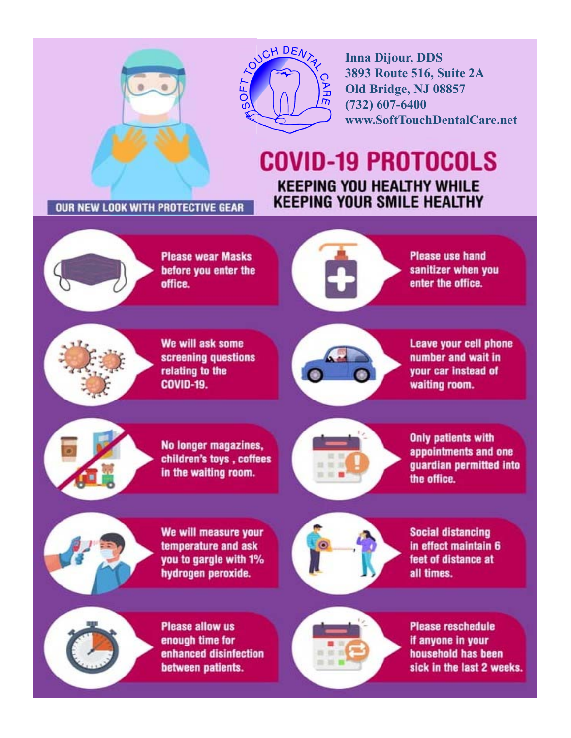



**Inna Dijour, DDS 3893 Route 516, Suite 2A** Old Bridge, NJ 08857  $(732)$  607-6400 www.SoftTouchDentalCare.net

## **COVID-19 PROTOCOLS KEEPING YOU HEALTHY WHILE KEEPING YOUR SMILE HEALTHY**

OUR NEW LOOK WITH PROTECTIVE GEAR



**Please wear Masks** before you enter the office.



**Please use hand** sanitizer when you enter the office.



We will ask some screening questions relating to the **COVID-19.** 



**Leave your cell phone** number and wait in vour car instead of waiting room.



No longer magazines, children's toys, coffees in the waiting room.



**Only patients with** appointments and one quardian permitted into the office.



We will measure your temperature and ask you to gargle with 1% hydrogen peroxide.



**Social distancing** in effect maintain 6 feet of distance at all times.



**Please allow us** enough time for enhanced disinfection between patients.



**Please reschedule** if anyone in your household has been sick in the last 2 weeks.